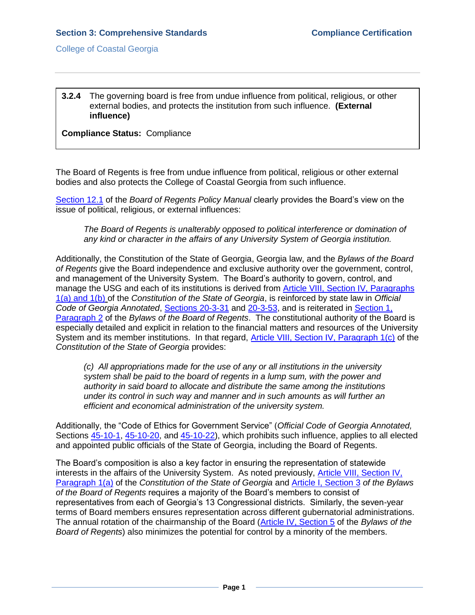## **3.2.4** The governing board is free from undue influence from political, religious, or other external bodies, and protects the institution from such influence. **(External influence)**

**Compliance Status:** Compliance

The Board of Regents is free from undue influence from political, religious or other external bodies and also protects the College of Coastal Georgia from such influence.

[Section 12.1](3.2.4.aUSGBORpolicymanual12.1.pdf#page=1) of the *Board of Regents Policy Manual* clearly provides the Board's view on the issue of political, religious, or external influences:

*The Board of Regents is unalterably opposed to political interference or domination of any kind or character in the affairs of any University System of Georgia institution.*

Additionally, the [Constitution of the State of Georgia,](file:///C:/Users/blemons/Downloads/SACS%20Reaffirmation/3.2.4/Georgia_Constitution.pdf) Georgia law, and the *[Bylaws of the Board](http://www.usg.edu/regents/bylaws/)  [of Regents](http://www.usg.edu/regents/bylaws/)* give the Board independence and exclusive authority over the government, control, and management of the University System. The Board's authority to govern, control, and manage the USG and each of its institutions is derived from [Article VIII, Section IV, Paragraphs](GAconstitution.pdf#page=63)  [1\(a\) and 1\(b\)](GAconstitution.pdf#page=63) of the *Constitution of the State of Georgia*, is reinforced by state law in *Official Code of Georgia Annotated*, [Sections 20-3-31](3.2.4.cOCofGA20-3-31.pdf#page=1) and [20-3-53,](3.2.4.dOCofGA20-3-53.pdf#page=1) and is reiterated in [Section 1,](USGBORbylaws.pdf#page=2)  [Paragraph 2](USGBORbylaws.pdf#page=2) of the *Bylaws of the Board* o*f Regents*. The constitutional authority of the Board is especially detailed and explicit in relation to the financial matters and resources of the University System and its member institutions. In that regard, Article [VIII, Section IV, Paragraph 1\(c\)](GAconstitution.pdf#page=63) of the *Constitution of the State of Georgia* provides:

*(c) All appropriations made for the use of any or all institutions in the university system shall be paid to the board of regents in a lump sum, with the power and authority in said board to allocate and distribute the same among the institutions under its control in such way and manner and in such amounts as will further an efficient and economical administration of the university system.*

Additionally, the "Code of Ethics for Government Service" (*Official Code of Georgia Annotated,*  Sections [45-10-1,](3.2.4.fOCofGA45-10-1.pdf#page=1) [45-10-20,](3.2.4.gOCofGA45-10-20.pdf#page=1) and [45-10-22\)](3.2.4.hOCofGA45-10-22.pdf#page=1), which prohibits such influence, applies to all elected and appointed public officials of the State of Georgia, including the Board of Regents.

The Board's composition is also a key factor in ensuring the representation of statewide interests in the affairs of the University System. As noted previously, [Article VIII, Section IV,](GAconstitution.pdf#page=63)  [Paragraph 1\(a\)](GAconstitution.pdf#page=63) of the *Constitution of the State of Georgia* and [Article I, Section](USGBORbylaws.pdf#page=2) 3 *of the Bylaws of the Board of Regents* requires a majority of the Board's members to consist of representatives from each of Georgia's 13 Congressional districts. Similarly, the seven-year terms of Board members ensures representation across different gubernatorial administrations. The annual rotation of the chairmanship of the Board [\(Article IV, Section 5](USGBORbylaws.pdf#page=7) of the *Bylaws of the Board of Regents*) also minimizes the potential for control by a minority of the members.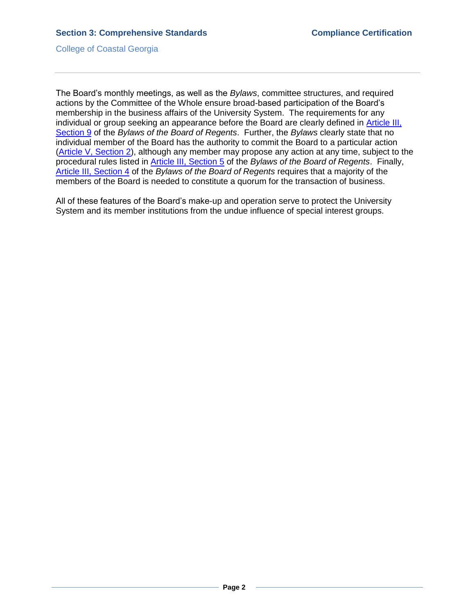College of Coastal Georgia

The Board's monthly meetings, as well as the *Bylaws*, committee structures, and required actions by the Committee of the Whole ensure broad-based participation of the Board's membership in the business affairs of the University System. The requirements for any individual or group seeking an appearance before the Board are clearly defined in [Article III,](USGBORbylaws.pdf#page=6)  [Section 9](USGBORbylaws.pdf#page=6) of the *Bylaws of the Board of Regents*. Further, the *Bylaws* clearly state that no individual member of the Board has the authority to commit the Board to a particular action [\(Article V, Section 2\)](USGBORbylaws.pdf#page=9), although any member may propose any action at any time, subject to the procedural rules listed in [Article III, Section 5](USGBORbylaws.pdf#page=5) of the *Bylaws of the Board of Regents*. Finally, [Article III, Section 4](USGBORbylaws.pdf#page=5) of the *Bylaws of the Board of Regents* requires that a majority of the members of the Board is needed to constitute a quorum for the transaction of business.

All of these features of the Board's make-up and operation serve to protect the University System and its member institutions from the undue influence of special interest groups.